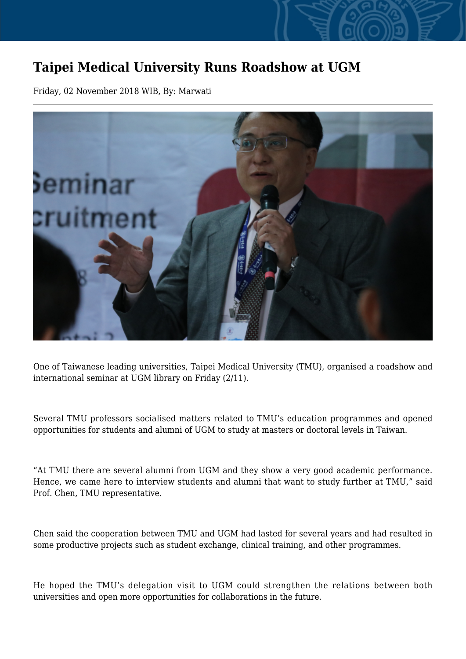## **Taipei Medical University Runs Roadshow at UGM**

Friday, 02 November 2018 WIB, By: Marwati



One of Taiwanese leading universities, Taipei Medical University (TMU), organised a roadshow and international seminar at UGM library on Friday (2/11).

Several TMU professors socialised matters related to TMU's education programmes and opened opportunities for students and alumni of UGM to study at masters or doctoral levels in Taiwan.

"At TMU there are several alumni from UGM and they show a very good academic performance. Hence, we came here to interview students and alumni that want to study further at TMU," said Prof. Chen, TMU representative.

Chen said the cooperation between TMU and UGM had lasted for several years and had resulted in some productive projects such as student exchange, clinical training, and other programmes.

He hoped the TMU's delegation visit to UGM could strengthen the relations between both universities and open more opportunities for collaborations in the future.